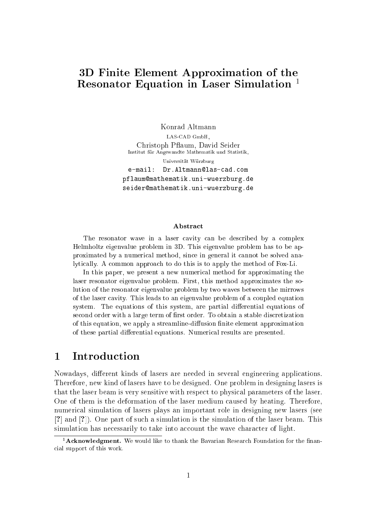# 3D Finite Element Approximation of the Resonator Equation in Laser Simulation<sup>1</sup>

Konrad Altmann LAS-CAD GmbH. LAS-CAD GmbH, Christoph P
aum, David Seider Institut fur Angewandte Mathematik und Statistik, Universität Würzburg e-mail: Dr.Altmann@las-cad.com pflaum@mathematik.uni-wuerzburg.de seider@mathematik.uni-wuerzburg.de

#### **Abstract**

The resonator wave in a laser cavity can be described by a complex Helmholtz eigenvalue problem in 3D. This eigenvalue problem has to be approximated by a numeri
al method, sin
e in general it annot be solved analyti
ally. A ommon approa
h to do this is to apply the method of Fox-Li.

In this paper, we present a new numerical method for approximating the laser resonator eigenvalue problem. First, this method approximates the solution of the resonator eigenvalue problem by two waves between the mirrows of the laser cavity. This leads to an eigenvalue problem of a coupled equation system. The equations of this system, are partial differential equations of second order with a large term of first order. To obtain a stable discretization of this equation, we apply a streamline-diffusion finite element approximation of these partial differential equations. Numerical results are presented.

#### $\mathbf{1}$ **Introduction**

Nowadays, different kinds of lasers are needed in several engineering applications. Therefore, new kind of lasers have to be designed. One problem in designing lasers is that the laser beam is very sensitive with respe
t to physi
al parameters of the laser. One of them is the deformation of the laser medium aused by heating. Therefore, numeri
al simulation of lasers plays an important role in designing new lasers (see  $[?]$  and  $[?]$ ). One part of such a simulation is the simulation of the laser beam. This simulation has necessarily to take into account the wave character of light.

<sup>&</sup>lt;sup>1</sup> Acknowledgment. We would like to thank the Bavarian Research Foundation for the financial support of this work.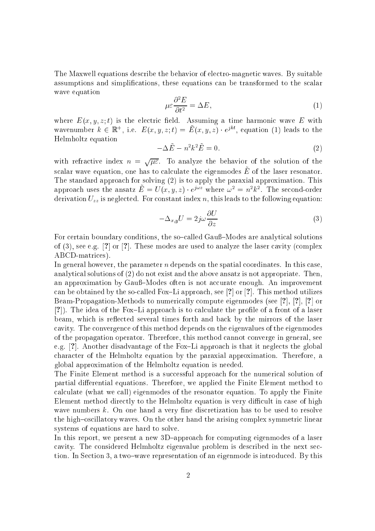The Maxwell equations des
ribe the behavior of ele
tro-magneti waves. By suitable assumptions and simplifications, these equations can be transformed to the scalar wave equation

$$
\mu \varepsilon \frac{\partial^2 E}{\partial t^2} = \Delta E,\tag{1}
$$

where  $E(x, y, z; t)$  is the electric field. Assuming a time harmonic wave E with wavenumber  $\kappa \in \mathbb{R}^+,$  i.e.  $E(x, y, z; t) = E(x, y, z) \cdot e^{j\kappa x}$ , equation (1) leads to the Helmholtz equation

$$
-\Delta \tilde{E} - n^2 k^2 \tilde{E} = 0.
$$
 (2)

with refractive index  $n = \sqrt{\mu \varepsilon}$ . To analyze the behavior of the solution of the  $s$ calar wave equation, one has to calculate the eigenmodes  $E$  or the laser resonator. The standard approach for solving (2) is to apply the paraxial approximation. This approach uses the ansatz  $E = U(x, y, z) \cdot e^{j x}$  where  $\omega^2 = n^2 \kappa^2$ . The second-order derivation  $U_{zz}$  is neglected. For constant index n, this leads to the following equation:

$$
-\Delta_{x,y}U = 2j\omega \frac{\partial U}{\partial z} \tag{3}
$$

For certain boundary conditions, the so-called Gauß-Modes are analytical solutions of  $(3)$ , see e.g. [?] or [?]. These modes are used to analyze the laser cavity (complex ABCD-matri
es).

In general however, the parameter  $n$  depends on the spatial coordinates. In this case, analyti
al solutions of (2) do not exist and the above ansatz is not appropriate. Then, an approximation by Gauß–Modes often is not accurate enough. An improvement can be obtained by the so-called Fox-Li approach, see [?] or [?]. This method utilizes Beam-Propagation-Methods to numerically compute eigenmodes (see [?], [?], [?] or [?]). The idea of the Fox-Li approach is to calculate the profile of a front of a laser beam, which is reflected several times forth and back by the mirrors of the laser avity. The onvergen
e of this method depends on the eigenvalues of the eigenmodes of the propagation operator. Therefore, this method annot onverge in general, see e.g.  $[?]$ . Another disadvantage of the Fox-Li approach is that it neglects the global hara
ter of the Helmholtz equation by the paraxial approximation. Therefore, a global approximation of the Helmholtz equation is needed.

The Finite Element method is a successful approach for the numerical solution of partial differential equations. Therefore, we applied the Finite Element method to al
ulate (what we all) eigenmodes of the resonator equation. To apply the Finite Element method directly to the Helmholtz equation is very difficult in case of high wave numbers  $k$ . On one hand a very fine discretization has to be used to resolve the high-oscillatory waves. On the other hand the arising complex symmetric linear systems of equations are hard to solve.

In this report, we present a new 3D-approach for computing eigenmodes of a laser cavity. The considered Helmholtz eigenvalue problem is described in the next section. In Section 3, a two-wave representation of an eigenmode is introduced. By this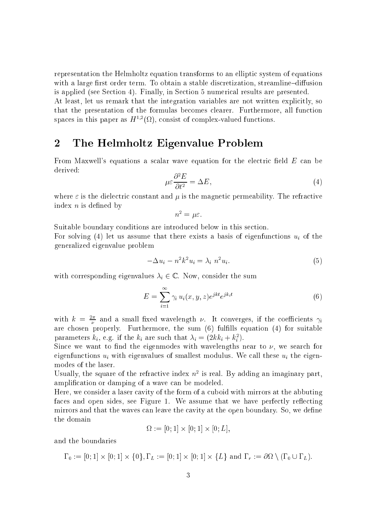representation the Helmholtz equation transforms to an elliptic system of equations with a large first order term. To obtain a stable discretization, streamline-diffusion is applied (see Se
tion 4). Finally, in Se
tion 5 numeri
al results are presented.

At least, let us remark that the integration variables are not written explicitly, so that the presentation of the formulas be
omes learer. Furthermore, all fun
tion spaces in this paper as  $H^{\gamma-}(\Omega)$ , consist of complex-valued functions.

## 2 The Helmholtz Eigenvalue Problem

From Maxwell's equations a scalar wave equation for the electric field  $E$  can be derived:

$$
\mu \varepsilon \frac{\partial^2 E}{\partial t^2} = \Delta E,\tag{4}
$$

where  $\varepsilon$  is the dielectric constant and  $\mu$  is the magnetic permeability. The refractive index  $n$  is defined by

$$
n^2 = \mu \varepsilon.
$$

Suitable boundary conditions are introduced below in this section.

For solving (4) let us assume that there exists a basis of eigenfunctions  $u_i$  of the generalized eigenvalue problem

$$
-\Delta u_i - n^2 k^2 u_i = \lambda_i n^2 u_i. \tag{5}
$$

with corresponding eigenvalues  $\lambda_i \in \mathbb{C}$ . Now, consider the sum

$$
E = \sum_{i=1}^{\infty} \gamma_i u_i(x, y, z) e^{jkt} e^{jk_i t}
$$
 (6)

with  $\kappa = \frac{1}{\nu}$  and a small fixed wavelength  $\nu$ . It converges, if the coefficients  $\gamma_i$ are chosen properly. Furthermore, the sum (6) fulfills equation (4) for suitable parameters  $\kappa_i$ , e.g. if the  $\kappa_i$  are such that  $\lambda_i \equiv (2\kappa \kappa_i + \kappa_i)$ .

Since we want to find the eigenmodes with wavelengths near to  $\nu$ , we search for eigenfunctions  $u_i$  with eigenvalues of smallest modulus. We call these  $u_i$  the eigenmodes of the laser.

Usually, the square of the refractive index  $n^2$  is real. By adding an imaginary part, amplification or damping of a wave can be modeled.

Here, we consider a laser cavity of the form of a cuboid with mirrors at the abbuting faces and open sides, see Figure 1. We assume that we have perfectly reflecting mirrors and that the waves can leave the cavity at the open boundary. So, we define the domain

$$
\Omega := [0; 1] \times [0; 1] \times [0; L],
$$

and the boundaries

0 := [0; 1℄ - [0; 1℄ - f0g; L := [0; 1℄ - [0; 1℄ - fLg and r := <sup>n</sup> (0 [ L):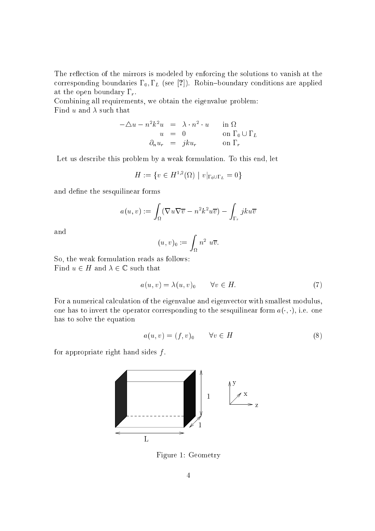The reflection of the mirrors is modeled by enforcing the solutions to vanish at the corresponding boundaries  $\Gamma_0, \Gamma_L$  (see [?]). Robin-boundary conditions are applied at the open boundary  $\Gamma_r$ .

Combining all requirements, we obtain the eigenvalue problem: Find u and  $\lambda$  such that

$$
-\Delta u - n^2 k^2 u = \lambda \cdot n^2 \cdot u \quad \text{in } \Omega
$$
  
\n
$$
u = 0 \quad \text{on } \Gamma_0 \cup \Gamma_L
$$
  
\n
$$
\partial_n u_r = j k u_r \quad \text{on } \Gamma_r
$$

Let us describe this problem by a weak formulation. To this end, let

$$
H := \{ v \in H^{1,2}(\Omega) \mid v|_{\Gamma_0 \cup \Gamma_L} = 0 \}
$$

and define the sesquilinear forms

$$
a(u, v) := \int_{\Omega} (\nabla u \nabla \overline{v} - n^2 k^2 u \overline{v}) - \int_{\Gamma_r} j k u \overline{v}
$$

and

$$
(u,v)_0:=\int_\Omega n^2\,\,u\overline{v}
$$

So, the weak formulation reads as follows: Find  $u \in H$  and  $\lambda \in \mathbb{C}$  such that

$$
a(u, v) = \lambda(u, v)_0 \qquad \forall v \in H. \tag{7}
$$

For a numerical calculation of the eigenvalue and eigenvector with smallest modulus. one has to invert the operator corresponding to the sesquilinear form  $a(\cdot, \cdot)$ , i.e. one has to solve the equation

$$
a(u, v) = (f, v)_0 \qquad \forall v \in H \tag{8}
$$

for appropriate right hand sides  $f$ .



Figure 1: Geometry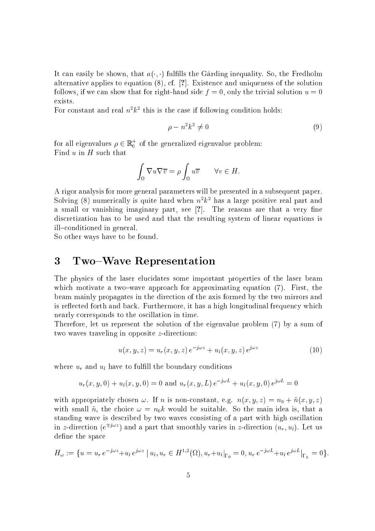It can easily be shown, that  $a(\cdot, \cdot)$  fulfills the Garding inequality. So, the Fredholm alternative applies to equation  $(8)$ , cf. [?]. Existence and uniqueness of the solution follows, if we can show that for right-hand side  $f = 0$ , only the trivial solution  $u = 0$ exists.

For constant and real  $n \kappa$  at this is the case if following condition holds:

$$
\rho - n^2 k^2 \neq 0 \tag{9}
$$

for all eigenvalues  $\rho \in \mathbb{R}^+_0$  of the generalized eigenvalue problem: Find  $u$  in  $H$  such that

$$
\int_{\Omega} \nabla u \nabla \overline{v} = \rho \int_{\Omega} u \overline{v} \qquad \forall v \in H.
$$

A rigor analysis for more general parameters will be presented in a subsequent paper. Solving (8) numerically is quite hard when  $n^2 \kappa^2$  has a large positive real part and a small or vanishing imaginary part, see  $[?]$ . The reasons are that a very fine dis
retization has to be used and that the resulting system of linear equations is ill-conditioned in general.

So other ways have to be found.

#### 3 Two-Wave Representation

The physi
s of the laser elu
idates some important properties of the laser beam which motivate a two-wave approach for approximating equation  $(7)$ . First, the beam mainly propagates in the dire
tion of the axis formed by the two mirrors and is reflected forth and back. Furthermore, it has a high longitudinal frequency which nearly orresponds to the os
illation in time.

Therefore, let us represent the solution of the eigenvalue problem (7) by a sum of two waves traveling in opposite z-directions:

$$
u(x, y, z) = u_r(x, y, z) e^{-j\omega z} + u_l(x, y, z) e^{j\omega z}
$$
 (10)

where  $u_r$  and  $u_l$  have to fulfill the boundary conditions

$$
u_r(x, y, 0) + u_l(x, y, 0) = 0
$$
 and  $u_r(x, y, L) e^{-j\omega L} + u_l(x, y, 0) e^{j\omega L} = 0$ 

with appropriately chosen  $\omega$ . If n is non-constant, e.g.  $n(x, y, z) = n_0 + \tilde{n}(x, y, z)$ with small  $\tilde{n}$ , the choice  $\omega = n_0 k$  would be suitable. So the main idea is, that a standing wave is described by two waves consisting of a part with high oscillation in z-direction ( $e^{\mp j\omega z}$ ) and a part that smoothly varies in z-direction  $(u_r, u_l)$ . Let us define the space

$$
H_{\omega} := \{ u = u_r e^{-j\omega z} + u_l e^{j\omega z} \mid u_l, u_r \in H^{1,2}(\Omega), u_r + u_l|_{\Gamma_0} = 0, u_r e^{-j\omega L} + u_l e^{j\omega L}|_{\Gamma_L} = 0 \}.
$$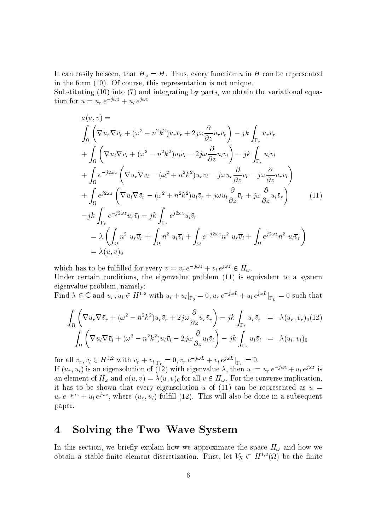It can easily be seen, that  $H_{\omega} = H$ . Thus, every function u in H can be represented in the form (10). Of ourse, this representation is not unique.

Substituting (10) into (7) and integrating by parts, we obtain the variational equation for  $u = u_r e^{-\lambda r} + u_l e^{i\lambda r}$ 

$$
a(u, v) =
$$
\n
$$
\int_{\Omega} \left( \nabla u_r \nabla \bar{v}_r + (\omega^2 - n^2 k^2) u_r \bar{v}_r + 2j\omega \frac{\partial}{\partial z} u_r \bar{v}_r \right) - jk \int_{\Gamma_r} u_r \bar{v}_r
$$
\n
$$
+ \int_{\Omega} \left( \nabla u_l \nabla \bar{v}_l + (\omega^2 - n^2 k^2) u_l \bar{v}_l - 2j\omega \frac{\partial}{\partial z} u_l \bar{v}_l \right) - jk \int_{\Gamma_r} u_l \bar{v}_l
$$
\n
$$
+ \int_{\Omega} e^{-j2\omega z} \left( \nabla u_r \nabla \bar{v}_l - (\omega^2 + n^2 k^2) u_r \bar{v}_l - j\omega u_r \frac{\partial}{\partial z} \bar{v}_l - j\omega \frac{\partial}{\partial z} u_r \bar{v}_l \right)
$$
\n
$$
+ \int_{\Omega} e^{j2\omega z} \left( \nabla u_l \nabla \bar{v}_r - (\omega^2 + n^2 k^2) u_l \bar{v}_r + j\omega u_l \frac{\partial}{\partial z} \bar{v}_r + j\omega \frac{\partial}{\partial z} u_l \bar{v}_r \right)
$$
\n
$$
- jk \int_{\Gamma_r} e^{-j2\omega z} u_r \bar{v}_l - jk \int_{\Gamma_r} e^{j2\omega z} u_l \bar{v}_r
$$
\n
$$
= \lambda \left( \int_{\Omega} n^2 u_r \bar{v}_r + \int_{\Omega} n^2 u_l \bar{v}_l + \int_{\Omega} e^{-j2\omega z} n^2 u_r \bar{v}_l + \int_{\Omega} e^{j2\omega z} n^2 u_l \bar{v}_r \right)
$$
\n
$$
= \lambda (u, v)_0
$$
\n(11)

which has to be fullified for every  $v = v_r e^{-\frac{1}{2} m} + v_l e^{\frac{1}{2} m} \in H_\omega$ .

Under certain conditions, the eigenvalue problem (11) is equivalent to a system eigenvalue problem, namely:

Find  $\lambda \in \mathbb{C}$  and  $u_r, u_l \in H^{-1}$ ; with  $u_r + u_l|_{\Gamma_0} = 0, u_r e^{-\int u_l e^{u_r - u_l} dV}$ .  $= 0$  such that

$$
\int_{\Omega} \left( \nabla u_r \nabla \bar{v}_r + (\omega^2 - n^2 k^2) u_r \bar{v}_r + 2j\omega \frac{\partial}{\partial z} u_r \bar{v}_r \right) - jk \int_{\Gamma_r} u_r \bar{v}_r = \lambda (u_r, v_r)_0 (12)
$$
  

$$
\int_{\Omega} \left( \nabla u_l \nabla \bar{v}_l + (\omega^2 - n^2 k^2) u_l \bar{v}_l - 2j\omega \frac{\partial}{\partial z} u_l \bar{v}_l \right) - jk \int_{\Gamma_r} u_l \bar{v}_l = \lambda (u_l, v_l)_0
$$

for all  $v_r, v_l \in H^{-1}$ . With  $v_r + v_l|_{\Gamma_0} = 0, v_r e^{-\gamma + \frac{1}{2}} + v_l e^{\gamma + \frac{1}{2}}|_{\Gamma_L} = 0$ . If  $(u_r, u_l)$  is an eigensolution of (12) with eigenvalue  $\lambda$ , then  $u := u_r \, e^{-\lambda \tau x} + u_l \, e^{\lambda \tau x}$  is an element of  $H_{\omega}$  and  $a(u, v) = \lambda(u, v)$  for all  $v \in H_{\omega}$ . For the converse implication, it has to be shown that every eigensolution u of  $(11)$  can be represented as  $u =$  $u_r e^{-j\omega} + u_l e^{j\omega}$ , where  $(u_r, u_l)$  fulllit (12). This will also be done in a subsequent paper.

## 4 Solving the Two–Wave System

In this section, we briefly explain how we approximate the space  $H_{\omega}$  and how we obtain a stable infite element discretization. First, let  $v_h \, \subset \, \pi$  (Az) be the imite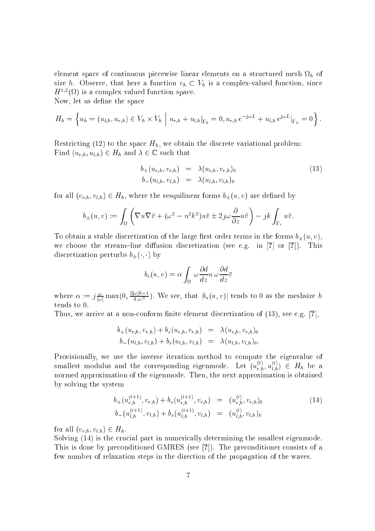element spanse in communication of pieces in the mesh of continuous case of the structure on a structure of  $\mu$  and size h. Observe, that here a function  $v_h \,\subset V_h$  is a complex-valued function, since  $H^{-1}(\Omega)$  is a complex valued function space. Now, let us define the space

 $\int_{-\infty}^{\infty}$  $|u_{r,b} + u_{l,b}|_{\mathcal{D}} = 0, u_{r,b}e^{-j\omega L} + u_{l,b}e^{j\omega L}$  $\overline{u}$ 

$$
H_h = \left\{ u_h = (u_{l,h}, u_{r,h}) \in V_h \times V_h \middle| u_{r,h} + u_{l,h} \middle|_{\Gamma_0} = 0, u_{r,h} e^{-j\omega L} + u_{l,h} e^{j\omega L} \middle|_{\Gamma_L} = 0 \right\}.
$$

Restricting (12) to the space  $H_h$ , we obtain the discrete variational problem: Find  $(u_{r,h}, u_{l,h}) \in H_h$  and  $\lambda \in \mathbb{C}$  such that

$$
b_{+}(u_{r,h}, v_{r,h}) = \lambda(u_{r,h}, v_{r,h})_{0}
$$
  
\n
$$
b_{-}(u_{l,h}, v_{l,h}) = \lambda(u_{l,h}, v_{l,h})_{0}
$$
\n(13)

for all  $(v_{r,h}, v_{l,h}) \in H_h$ , where the sesquilinear forms  $b_{\pm}(u, v)$  are defined by

$$
b_{\pm}(u,v) := \int_{\Omega} \left( \nabla u \nabla \bar{v} + (\omega^2 - n^2 k^2) u \bar{v} \pm 2j\omega \frac{\partial}{\partial z} u \bar{v} \right) - jk \int_{\Gamma_r} u \bar{v}.
$$

To obtain a stable discretization of the large first order terms in the forms  $b_{\pm}(u, v)$ , we choose the stream-line diffusion discretization (see e.g. in [?] or [?]). This discretization perturbs  $b_{\pm}(\cdot, \cdot)$  by

$$
b_s(u,v) = \alpha \int_{\Omega} \omega \frac{\partial d}{\partial x} u \omega \frac{\partial d}{\partial z} \bar{v}
$$

where  $\alpha := \int_{-\infty}^{\infty} \max(0, \frac{1}{4|\omega|^2})$ . We see, that  $|b_s(u, v)|$  tends to 0 as the meshsize h tends to 0.

Thus, we arrive at a non-conform finite element discretization of  $(13)$ , see e.g. [?],

$$
b_{+}(u_{r,h}, v_{r,h}) + b_{s}(u_{r,h}, v_{r,h}) = \lambda(u_{r,h}, v_{r,h})_{0}
$$
  

$$
b_{-}(u_{l,h}, v_{l,h}) + b_{s}(u_{l,h}, v_{l,h}) = \lambda(u_{l,h}, v_{l,h})_{0}.
$$

Provisionally, we use the inverse iteration method to ompute the eigenvalue of smallest modulus and the corresponding eigenmode. Let  $(u_{r,h}^{\scriptscriptstyle\vee},u_{l,h}^{\scriptscriptstyle\vee})\,\in\, H_h$  be a normed approximation of the eigenmode. Then, the next approximation is obtained by solving the system

$$
b_{+}(u_{r,h}^{(i+1)}, v_{r,h}) + b_{s}(u_{r,h}^{(i+1)}, v_{r,h}) = (u_{r,h}^{(i)}, v_{r,h})_{0}
$$
  
\n
$$
b_{-}(u_{l,h}^{(i+1)}, v_{l,h}) + b_{s}(u_{l,h}^{(i+1)}, v_{l,h}) = (u_{l,h}^{(i)}, v_{l,h})_{0}
$$
\n(14)

for all  $(v_{r,h}, v_{l,h}) \in H_h$ .

Solving (14) is the crucial part in numerically determining the smallest eigenmode. This is done by preconditioned GMRES (see  $[?]$ ). The preconditioner consists of a few number of relaxation steps in the dire
tion of the propagation of the waves.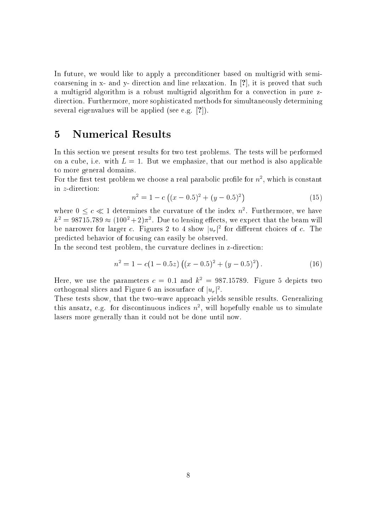In future, we would like to apply a pre
onditioner based on multigrid with semi coarsening in x- and y- direction and line relaxation. In [?], it is proved that such a multigrid algorithm is a robust multigrid algorithm for a convection in pure zdirection. Furthermore, more sophisticated methods for simultaneously determining several eigenvalues will be applied (see e.g.  $[?]$ ).

### 5 Numeri
al Results

In this section we present results for two test problems. The tests will be performed on a cube, i.e. with  $L = 1$ . But we emphasize, that our method is also applicable to more general domains.

For the first test problem we choose a real parabolic profile for  $n$  , which is constant in z-dire
tion:

$$
n^2 = 1 - c \left( (x - 0.5)^2 + (y - 0.5)^2 \right) \tag{15}
$$

where  $0 \leq c \leq 1$  determines the curvature of the index  $n$  . Furthermore, we have  $\kappa^2 = 98715.789 \approx (100^2 + 2)\pi^2$ . Due to lensing effects, we expect that the beam will be narrower for larger c. Figures 2 to 4 show  $|u_r|$  for different choices of c. The predi
ted behavior of fo
using an easily be observed.

In the second test problem, the curvature declines in z-direction:

$$
n^2 = 1 - c(1 - 0.5z) ((x - 0.5)^2 + (y - 0.5)^2).
$$
 (16)

Here, we use the parameters  $c = 0.1$  and  $k^2 = 987.15789$ . Figure 5 depicts two orthogonal slices and rigure  $\sigma$  an isosurface of  $\lVert u_r \rVert^2$  .

These tests show, that the two-wave approach yields sensible results. Generalizing this ansatz, e.g. for discontinuous indices  $n^2$ , will hopefully enable us to simulate lasers more generally than it could not be done until now.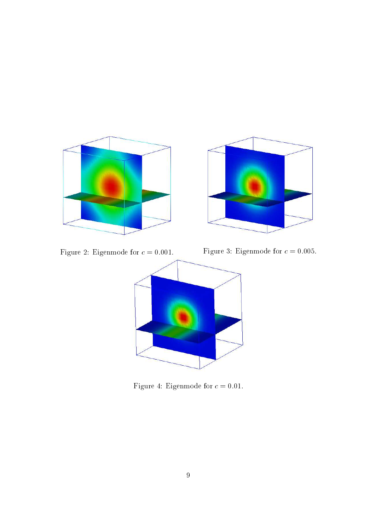

Figure 4: Eigenmode for  $c = 0.01$ .